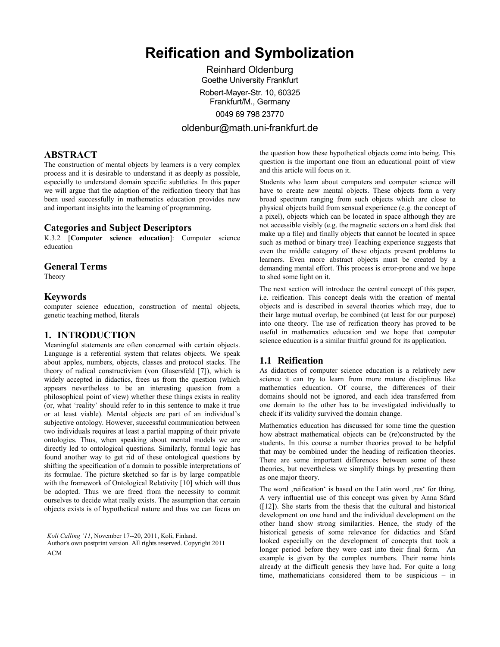# **Reification and Symbolization**

Reinhard Oldenburg Goethe University Frankfurt

Robert-Mayer-Str. 10, 60325 Frankfurt/M., Germany

0049 69 798 23770

oldenbur@math.uni-frankfurt.de

## **ABSTRACT**

The construction of mental objects by learners is a very complex process and it is desirable to understand it as deeply as possible, especially to understand domain specific subtleties. In this paper we will argue that the adaption of the reification theory that has been used successfully in mathematics education provides new and important insights into the learning of programming.

#### **Categories and Subject Descriptors**

K.3.2 [**Computer science education**]: Computer science education

#### **General Terms**

Theory

#### **Keywords**

computer science education, construction of mental objects, genetic teaching method, literals

#### **1. INTRODUCTION**

Meaningful statements are often concerned with certain objects. Language is a referential system that relates objects. We speak about apples, numbers, objects, classes and protocol stacks. The theory of radical constructivism (von Glasersfeld [7]), which is widely accepted in didactics, frees us from the question (which appears nevertheless to be an interesting question from a philosophical point of view) whether these things exists in reality (or, what 'reality' should refer to in this sentence to make it true or at least viable). Mental objects are part of an individual's subjective ontology. However, successful communication between two individuals requires at least a partial mapping of their private ontologies. Thus, when speaking about mental models we are directly led to ontological questions. Similarly, formal logic has found another way to get rid of these ontological questions by shifting the specification of a domain to possible interpretations of its formulae. The picture sketched so far is by large compatible with the framework of Ontological Relativity [10] which will thus be adopted. Thus we are freed from the necessity to commit ourselves to decide what really exists. The assumption that certain objects exists is of hypothetical nature and thus we can focus on

*Koli Calling '11*, November 17--20, 2011, Koli, Finland. Author's own postprint version. All rights reserved. Copyright 2011 ACM

the question how these hypothetical objects come into being. This question is the important one from an educational point of view and this article will focus on it.

Students who learn about computers and computer science will have to create new mental objects. These objects form a very broad spectrum ranging from such objects which are close to physical objects build from sensual experience (e.g. the concept of a pixel), objects which can be located in space although they are not accessible visibly (e.g. the magnetic sectors on a hard disk that make up a file) and finally objects that cannot be located in space such as method or binary tree) Teaching experience suggests that even the middle category of these objects present problems to learners. Even more abstract objects must be created by a demanding mental effort. This process is error-prone and we hope to shed some light on it.

The next section will introduce the central concept of this paper, i.e. reification. This concept deals with the creation of mental objects and is described in several theories which may, due to their large mutual overlap, be combined (at least for our purpose) into one theory. The use of reification theory has proved to be useful in mathematics education and we hope that computer science education is a similar fruitful ground for its application.

#### **1.1 Reification**

As didactics of computer science education is a relatively new science it can try to learn from more mature disciplines like mathematics education. Of course, the differences of their domains should not be ignored, and each idea transferred from one domain to the other has to be investigated individually to check if its validity survived the domain change.

Mathematics education has discussed for some time the question how abstract mathematical objects can be (re)constructed by the students. In this course a number theories proved to be helpful that may be combined under the heading of reification theories. There are some important differences between some of these theories, but nevertheless we simplify things by presenting them as one major theory.

The word , reification' is based on the Latin word , res' for thing. A very influential use of this concept was given by Anna Sfard ([12]). She starts from the thesis that the cultural and historical development on one hand and the individual development on the other hand show strong similarities. Hence, the study of the historical genesis of some relevance for didactics and Sfard looked especially on the development of concepts that took a longer period before they were cast into their final form. An example is given by the complex numbers. Their name hints already at the difficult genesis they have had. For quite a long time, mathematicians considered them to be suspicious – in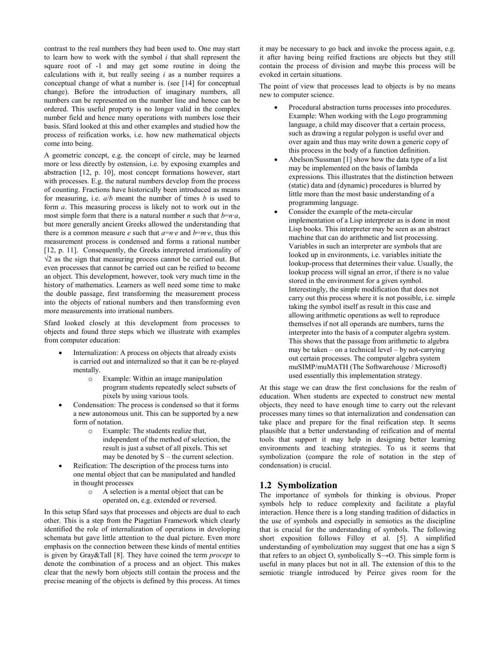contrast to the real numbers they had been used to. One may start to learn how to work with the symbol *i* that shall represent the square root of -1 and may get some routine in doing the calculations with it, but really seeing *i* as a number requires a conceptual change of what a number is. (see [14] for conceptual change). Before the introduction of imaginary numbers, all numbers can be represented on the number line and hence can be ordered. This useful property is no longer valid in the complex number field and hence many operations with numbers lose their basis. Sfard looked at this and other examples and studied how the process of reification works, i.e. how new mathematical objects come into being.

A geometric concept, e.g. the concept of circle, may be learned more or less directly by ostension, i.e. by exposing examples and abstraction [12, p. 10], most concept formations however, start with processes. E.g. the natural numbers develop from the process of counting. Fractions have historically been introduced as means for measuring, i.e. *a*/*b* meant the number of times *b* is used to form *a*. This measuring process is likely not to work out in the most simple form that there is a natural number *n* such that  $b=n·a$ , but more generally ancient Greeks allowed the understanding that there is a common measure *e* such that  $a = n \cdot e$  and  $b = m \cdot e$ , thus this measurement process is condensed and forms a rational number [12, p. 11]. Consequently, the Greeks interpreted irrationality of  $\sqrt{2}$  as the sign that measuring process cannot be carried out. But even processes that cannot be carried out can be reified to become an object. This development, however, took very much time in the history of mathematics. Learners as well need some time to make the double passage, first transforming the measurement process into the objects of rational numbers and then transforming even more measurements into irrational numbers.

Sfard looked closely at this development from processes to objects and found three steps which we illustrate with examples from computer education:

- Internalization: A process on objects that already exists is carried out and internalized so that it can be re-played mentally.
	- o Example: Within an image manipulation program students repeatedly select subsets of pixels by using various tools.
- Condensation: The process is condensed so that it forms a new autonomous unit. This can be supported by a new form of notation.
	- o Example: The students realize that, independent of the method of selection, the result is just a subset of all pixels. This set may be denoted by S – the current selection.
- Reification: The description of the process turns into one mental object that can be manipulated and handled in thought processes
	- o A selection is a mental object that can be operated on, e.g. extended or reversed.

In this setup Sfard says that processes and objects are dual to each other. This is a step from the Piagetian Framework which clearly identified the role of internalization of operations in developing schemata but gave little attention to the dual picture. Even more emphasis on the connection between these kinds of mental entities is given by Gray&Tall [8]. They have coined the term *procept* to denote the combination of a process and an object. This makes clear that the newly born objects still contain the process and the precise meaning of the objects is defined by this process. At times

it may be necessary to go back and invoke the process again, e.g. it after having being reified fractions are objects but they still contain the process of division and maybe this process will be evoked in certain situations.

The point of view that processes lead to objects is by no means new to computer science.

- Procedural abstraction turns processes into procedures. Example: When working with the Logo programming language, a child may discover that a certain process, such as drawing a regular polygon is useful over and over again and thus may write down a generic copy of this process in the body of a function definition.
- Abelson/Sussman [1] show how the data type of a list may be implemented on the basis of lambda expressions. This illustrates that the distinction between (static) data and (dynamic) procedures is blurred by little more than the most basic understanding of a programming language.
- Consider the example of the meta-circular implementation of a Lisp interpreter as is done in most Lisp books. This interpreter may be seen as an abstract machine that can do arithmetic and list processing. Variables in such an interpreter are symbols that are looked up in environments, i.e. variables initiate the lookup-process that determines their value. Usually, the lookup process will signal an error, if there is no value stored in the environment for a given symbol. Interestingly, the simple modification that does not carry out this process where it is not possible, i.e. simple taking the symbol itself as result in this case and allowing arithmetic operations as well to reproduce themselves if not all operands are numbers, turns the interpreter into the basis of a computer algebra system. This shows that the passage from arithmetic to algebra may be taken – on a technical level – by not-carrying out certain processes. The computer algebra system muSIMP/muMATH (The Softwarehouse / Microsoft) used essentially this implementation strategy.

At this stage we can draw the first conclusions for the realm of education. When students are expected to construct new mental objects, they need to have enough time to carry out the relevant processes many times so that internalization and condensation can take place and prepare for the final reification step. It seems plausible that a better understanding of reification and of mental tools that support it may help in designing better learning environments and teaching strategies. To us it seems that symbolization (compare the role of notation in the step of condensation) is crucial.

# **1.2 Symbolization**

The importance of symbols for thinking is obvious. Proper symbols help to reduce complexity and facilitate a playful interaction. Hence there is a long standing tradition of didactics in the use of symbols and especially in semiotics as the discipline that is crucial for the understanding of symbols. The following short exposition follows Filloy et al. [5]. A simplified understanding of symbolization may suggest that one has a sign S that refers to an object O, symbolically  $S\rightarrow O$ . This simple form is useful in many places but not in all. The extension of this to the semiotic triangle introduced by Peirce gives room for the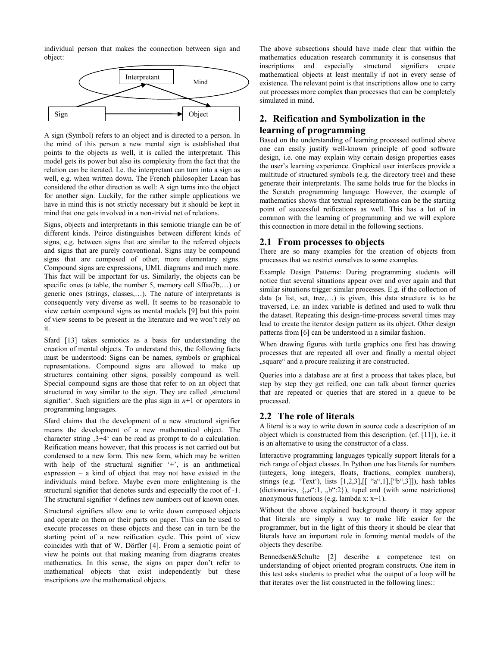individual person that makes the connection between sign and object:



A sign (Symbol) refers to an object and is directed to a person. In the mind of this person a new mental sign is established that points to the objects as well, it is called the interpretant. This model gets its power but also its complexity from the fact that the relation can be iterated. I.e. the interpretant can turn into a sign as well, e.g. when written down. The French philosopher Lacan has considered the other direction as well: A sign turns into the object for another sign. Luckily, for the rather simple applications we have in mind this is not strictly necessary but it should be kept in mind that one gets involved in a non-trivial net of relations.

Signs, objects and interpretants in this semiotic triangle can be of different kinds. Peirce distinguishes between different kinds of signs, e.g. between signs that are similar to the referred objects and signs that are purely conventional. Signs may be compound signs that are composed of other, more elementary signs. Compound signs are expressions, UML diagrams and much more. This fact will be important for us. Similarly, the objects can be specific ones (a table, the number 5, memory cell \$ffaa7b,...) or generic ones (strings, classes,…). The nature of interpretants is consequently very diverse as well. It seems to be reasonable to view certain compound signs as mental models [9] but this point of view seems to be present in the literature and we won't rely on it.

Sfard [13] takes semiotics as a basis for understanding the creation of mental objects. To understand this, the following facts must be understood: Signs can be names, symbols or graphical representations. Compound signs are allowed to make up structures containing other signs, possibly compound as well. Special compound signs are those that refer to on an object that structured in way similar to the sign. They are called , structural signifier'. Such signifiers are the plus sign in *n*+1 or operators in programming languages.

Sfard claims that the development of a new structural signifier means the development of a new mathematical object. The character string  $3+4$  can be read as prompt to do a calculation. Reification means however, that this process is not carried out but condensed to a new form. This new form, which may be written with help of the structural signifier '+', is an arithmetical expression – a kind of object that may not have existed in the individuals mind before. Maybe even more enlightening is the structural signifier that denotes surds and especially the root of -1. The structural signifier  $\sqrt{\text{defines}}$  new numbers out of known ones.

Structural signifiers allow one to write down composed objects and operate on them or their parts on paper. This can be used to execute processes on these objects and these can in turn be the starting point of a new reification cycle. This point of view coincides with that of W. Dörfler [4]. From a semiotic point of view he points out that making meaning from diagrams creates mathematics. In this sense, the signs on paper don't refer to mathematical objects that exist independently but these inscriptions *are* the mathematical objects.

The above subsections should have made clear that within the mathematics education research community it is consensus that inscriptions and especially structural signifiers create mathematical objects at least mentally if not in every sense of existence. The relevant point is that inscriptions allow one to carry out processes more complex than processes that can be completely simulated in mind.

# **2. Reification and Symbolization in the learning of programming**

Based on the understanding of learning processed outlined above one can easily justify well-known principle of good software design, i.e. one may explain why certain design properties eases the user's learning experience. Graphical user interfaces provide a multitude of structured symbols (e.g. the directory tree) and these generate their interpretants. The same holds true for the blocks in the Scratch programming language. However, the example of mathematics shows that textual representations can be the starting point of successful reifications as well. This has a lot of in common with the learning of programming and we will explore this connection in more detail in the following sections.

#### **2.1 From processes to objects**

There are so many examples for the creation of objects from processes that we restrict ourselves to some examples.

Example Design Patterns: During programming students will notice that several situations appear over and over again and that similar situations trigger similar processes. E.g. if the collection of data (a list, set, tree,…) is given, this data structure is to be traversed, i.e. an index variable is defined and used to walk thru the dataset. Repeating this design-time-process several times may lead to create the iterator design pattern as its object. Other design patterns from [6] can be understood in a similar fashion.

When drawing figures with turtle graphics one first has drawing processes that are repeated all over and finally a mental object "square" and a procure realizing it are constructed.

Queries into a database are at first a process that takes place, but step by step they get reified, one can talk about former queries that are repeated or queries that are stored in a queue to be processed.

#### **2.2 The role of literals**

A literal is a way to write down in source code a description of an object which is constructed from this description. (cf. [11]), i.e. it is an alternative to using the constructor of a class.

Interactive programming languages typically support literals for a rich range of object classes. In Python one has literals for numbers (integers, long integers, floats, fractions, complex numbers), strings (e.g. 'Text'), lists [1,2,3],[[ "a",1],["b",3]]), hash tables (dictionaries,  $\{a^{\prime\prime}:1, b^{\prime\prime}:2\}$ ), tupel and (with some restrictions) anonymous functions (e.g. lambda  $x: x+1$ ).

Without the above explained background theory it may appear that literals are simply a way to make life easier for the programmer, but in the light of this theory it should be clear that literals have an important role in forming mental models of the objects they describe.

Bennedsen&Schulte [2] describe a competence test on understanding of object oriented program constructs. One item in this test asks students to predict what the output of a loop will be that iterates over the list constructed in the following lines::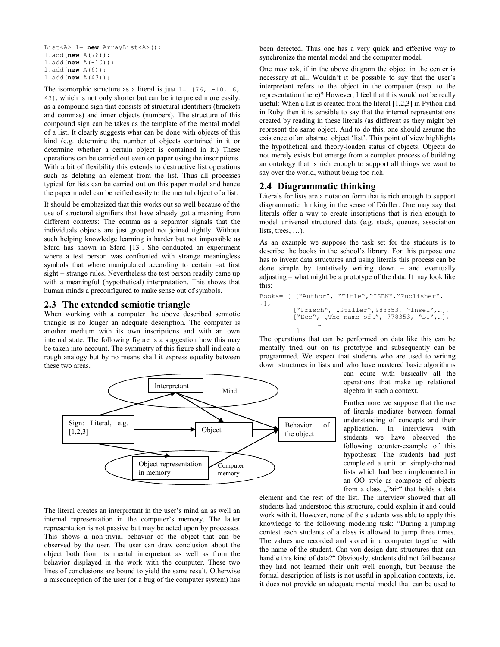```
List<A> l= new ArrayList<A>();
l.add(new A(76));
l.add(new A(-10));
l.add(new A(6));
l.add(new A(43));
```
The isomorphic structure as a literal is just  $l = 76$ , -10, 6, 43], which is not only shorter but can be interpreted more easily. as a compound sign that consists of structural identifiers (brackets and commas) and inner objects (numbers). The structure of this compound sign can be takes as the template of the mental model of a list. It clearly suggests what can be done with objects of this kind (e.g. determine the number of objects contained in it or determine whether a certain object is contained in it.) These operations can be carried out even on paper using the inscriptions. With a bit of flexibility this extends to destructive list operations such as deleting an element from the list. Thus all processes typical for lists can be carried out on this paper model and hence the paper model can be reified easily to the mental object of a list.

It should be emphasized that this works out so well because of the use of structural signifiers that have already got a meaning from different contexts: The comma as a separator signals that the individuals objects are just grouped not joined tightly. Without such helping knowledge learning is harder but not impossible as Sfard has shown in Sfard [13]. She conducted an experiment where a test person was confronted with strange meaningless symbols that where manipulated according to certain –at first sight – strange rules. Nevertheless the test person readily came up with a meaningful (hypothetical) interpretation. This shows that human minds a preconfigured to make sense out of symbols.

#### **2.3 The extended semiotic triangle**

When working with a computer the above described semiotic triangle is no longer an adequate description. The computer is another medium with its own inscriptions and with an own internal state. The following figure is a suggestion how this may be taken into account. The symmetry of this figure shall indicate a rough analogy but by no means shall it express equality between these two areas.



The literal creates an interpretant in the user's mind an as well an internal representation in the computer's memory. The latter representation is not passive but may be acted upon by processes. This shows a non-trivial behavior of the object that can be observed by the user. The user can draw conclusion about the object both from its mental interpretant as well as from the behavior displayed in the work with the computer. These two lines of conclusions are bound to yield the same result. Otherwise a misconception of the user (or a bug of the computer system) has been detected. Thus one has a very quick and effective way to synchronize the mental model and the computer model.

One may ask, if in the above diagram the object in the center is necessary at all. Wouldn't it be possible to say that the user's interpretant refers to the object in the computer (resp. to the representation there)? However, I feel that this would not be really useful: When a list is created from the literal [1,2,3] in Python and in Ruby then it is sensible to say that the internal representations created by reading in these literals (as different as they might be) represent the same object. And to do this, one should assume the existence of an abstract object 'list'. This point of view highlights the hypothetical and theory-loaden status of objects. Objects do not merely exists but emerge from a complex process of building an ontology that is rich enough to support all things we want to say over the world, without being too rich.

#### **2.4 Diagrammatic thinking**

Literals for lists are a notation form that is rich enough to support diagrammatic thinking in the sense of Dörfler. One may say that literals offer a way to create inscriptions that is rich enough to model universal structured data (e.g. stack, queues, association lists, trees, …).

As an example we suppose the task set for the students is to describe the books in the school's library. For this purpose one has to invent data structures and using literals this process can be done simple by tentatively writing down – and eventually adjusting – what might be a prototype of the data. It may look like this:

```
Books= [ ["Author", "Title","ISBN","Publisher", 
…],
         ["Frisch", "Stiller", 988353, "Insel",...],
         ["Eco", "The name of...", 778353, "BI",...],
                …
           ]
```
The operations that can be performed on data like this can be mentally tried out on tis prototype and subsequently can be programmed. We expect that students who are used to writing down structures in lists and who have mastered basic algorithms

> can come with basically all the operations that make up relational algebra in such a context.

> Furthermore we suppose that the use of literals mediates between formal understanding of concepts and their application. In interviews with students we have observed the following counter-example of this hypothesis: The students had just completed a unit on simply-chained lists which had been implemented in an OO style as compose of objects from a class "Pair" that holds a data

element and the rest of the list. The interview showed that all students had understood this structure, could explain it and could work with it. However, none of the students was able to apply this knowledge to the following modeling task: "During a jumping contest each students of a class is allowed to jump three times. The values are recorded and stored in a computer together with the name of the student. Can you design data structures that can handle this kind of data?" Obviously, students did not fail because they had not learned their unit well enough, but because the formal description of lists is not useful in application contexts, i.e. it does not provide an adequate mental model that can be used to